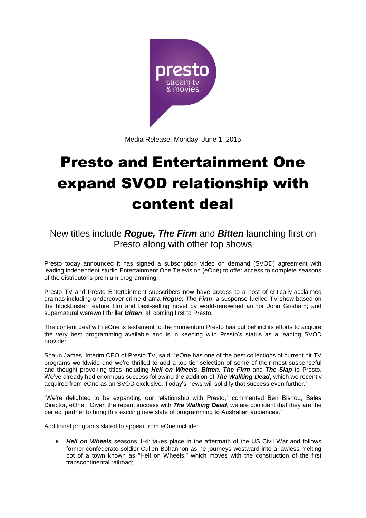

Media Release: Monday, June 1, 2015

# Presto and Entertainment One expand SVOD relationship with content deal

## New titles include *Rogue, The Firm* and *Bitten* launching first on Presto along with other top shows

Presto today announced it has signed a subscription video on demand (SVOD) agreement with leading independent studio Entertainment One Television (eOne) to offer access to complete seasons of the distributor's premium programming.

Presto TV and Presto Entertainment subscribers now have access to a host of critically-acclaimed dramas including undercover crime drama *Rogue*; *The Firm*, a suspense fuelled TV show based on the blockbuster feature film and best-selling novel by world-renowned author John Grisham; and supernatural werewolf thriller *Bitten*, all coming first to Presto.

The content deal with eOne is testament to the momentum Presto has put behind its efforts to acquire the very best programming available and is in keeping with Presto's status as a leading SVOD provider.

Shaun James, Interim CEO of Presto TV, said, "eOne has one of the best collections of current hit TV programs worldwide and we're thrilled to add a top-tier selection of some of their most suspenseful and thought provoking titles including *Hell on Wheels*, *Bitten, The Firm* and *The Slap* to Presto. We've already had enormous success following the addition of *The Walking Dead*, which we recently acquired from eOne as an SVOD exclusive. Today's news will solidify that success even further."

"We're delighted to be expanding our relationship with Presto," commented Ben Bishop, Sales Director, eOne. "Given the recent success with *The Walking Dead*, we are confident that they are the perfect partner to bring this exciting new slate of programming to Australian audiences."

Additional programs slated to appear from eOne include:

 *Hell on Wheels* seasons 1-4: takes place in the aftermath of the US Civil War and follows former confederate soldier Cullen Bohannon as he journeys westward into a lawless melting pot of a town known as "Hell on Wheels," which moves with the construction of the first transcontinental railroad;